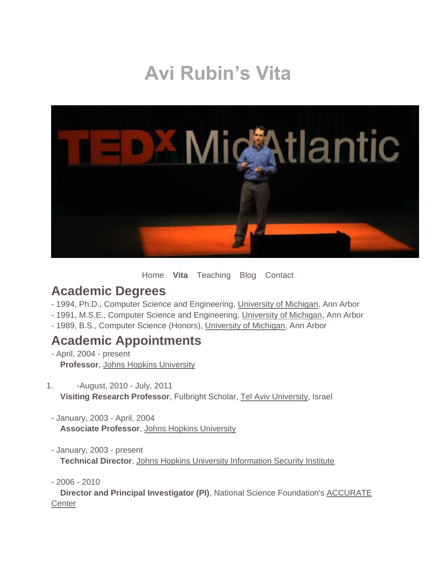# **Avi Rubin's Vita**



[Home](https://avirubin.com/Home.html) **Vita** [Teaching](https://avirubin.com/Teaching.html) [Blog](http://avi-rubin.blogspot.com/) [Contact](https://avirubin.com/Contact.html)

### **Academic Degrees**

- 1994, Ph.D., Computer Science and Engineering, [University of Michigan,](http://www.cs.umich.edu/) Ann Arbor
- 1991, M.S.E., Computer Science and Engineering, [University of Michigan,](http://www.cs.umich.edu/) Ann Arbor
- 1989, B.S., Computer Science (Honors), [University of Michigan,](http://www.cs.umich.edu/) Ann Arbor

### **Academic Appointments**

- April, 2004 - present **Professor**, [Johns Hopkins University](http://www.cs.jhu.edu/) 

1. -August, 2010 - July, 2011 **Visiting Research Professor**, Fulbright Scholar, Tel Aviv University, Israel

- January, 2003 - April, 2004 **Associate Professor**, [Johns Hopkins University](http://www.cs.jhu.edu/)

- January, 2003 - present **Technical Director**, [Johns Hopkins University Information Security Institute](http://www.jhuisi.jhu.edu/)

- 2006 - 2010

**Director and Principal Investigator (PI), National Science Foundation's ACCURATE [Center](http://www.accurate-voting.org/)**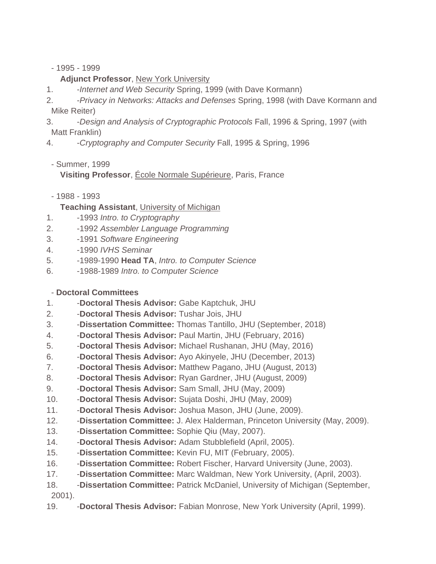- 1995 - 1999

#### **Adjunct Professor**, [New York University](http://www.cs.nyu.edu/)

- 1. -*Internet and Web Security* Spring, 1999 (with Dave Kormann)
- 2. -*Privacy in Networks: Attacks and Defenses* Spring, 1998 (with Dave Kormann and Mike Reiter)
- 3. -*Design and Analysis of Cryptographic Protocols* Fall, 1996 & Spring, 1997 (with Matt Franklin)
- 4. -*Cryptography and Computer Security* Fall, 1995 & Spring, 1996
- Summer, 1999

**Visiting Professor**, [École Normale Supérieure,](http://www.dmi.ens.fr/DMI%20A.html) Paris, France

- 1988 - 1993

#### **Teaching Assistant**, [University of Michigan](http://www.cs.umich.edu/)

- 1. -1993 *Intro. to Cryptography*
- 2. -1992 *Assembler Language Programming*
- 3. -1991 *Software Engineering*
- 4. -1990 *IVHS Seminar*
- 5. -1989-1990 **Head TA**, *Intro. to Computer Science*
- 6. -1988-1989 *Intro. to Computer Science*

#### - **Doctoral Committees**

- 1. -**Doctoral Thesis Advisor:** Gabe Kaptchuk, JHU
- 2. -**Doctoral Thesis Advisor:** Tushar Jois, JHU
- 3. -**Dissertation Committee:** Thomas Tantillo, JHU (September, 2018)
- 4. -**Doctoral Thesis Advisor:** Paul Martin, JHU (February, 2016)
- 5. -**Doctoral Thesis Advisor:** Michael Rushanan, JHU (May, 2016)
- 6. -**Doctoral Thesis Advisor:** Ayo Akinyele, JHU (December, 2013)
- 7. -**Doctoral Thesis Advisor:** Matthew Pagano, JHU (August, 2013)
- 8. -**Doctoral Thesis Advisor:** Ryan Gardner, JHU (August, 2009)
- 9. -**Doctoral Thesis Advisor:** Sam Small, JHU (May, 2009)
- 10. -**Doctoral Thesis Advisor:** Sujata Doshi, JHU (May, 2009)
- 11. -**Doctoral Thesis Advisor:** Joshua Mason, JHU (June, 2009).
- 12. -**Dissertation Committee:** J. Alex Halderman, Princeton University (May, 2009).
- 13. -**Dissertation Committee:** Sophie Qiu (May, 2007).
- 14. -**Doctoral Thesis Advisor:** Adam Stubblefield (April, 2005).
- 15. -**Dissertation Committee:** Kevin FU, MIT (February, 2005).
- 16. -**Dissertation Committee:** Robert Fischer, Harvard University (June, 2003).
- 17. -**Dissertation Committee:** Marc Waldman, New York University, (April, 2003).
- 18. -**Dissertation Committee:** Patrick McDaniel, University of Michigan (September, 2001).
- 19. -**Doctoral Thesis Advisor:** Fabian Monrose, New York University (April, 1999).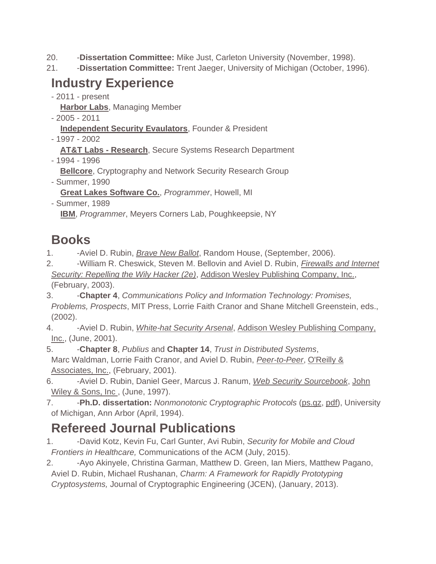- 20. -**Dissertation Committee:** Mike Just, Carleton University (November, 1998).
- 21. -**Dissertation Committee:** Trent Jaeger, University of Michigan (October, 1996).

## **Industry Experience**

- 2011 - present

**[Harbor Labs](http://harborlabs.com/)**, Managing Member

- 2005 2011
	- **Independent Security Evaulators**, Founder & President
- 1997 2002

**AT&T Labs - Research**, Secure Systems Research Department

- 1994 - 1996

**Bellcore**, Cryptography and Network Security Research Group

- Summer, 1990

**Great Lakes Software Co.**, *Programmer*, Howell, MI

- Summer, 1989 **[IBM](http://www.ibm.com/)**, *Programmer*, Meyers Corners Lab, Poughkeepsie, NY

# **Books**

- 1. -Aviel D. Rubin, *[Brave New Ballot](http://www.bravenewballot.org/)*, Random House, (September, 2006).
- 2. -William R. Cheswick, Steven M. Bellovin and Aviel D. Rubin, *[Firewalls and Internet](http://www.wilyhacker.com/)  [Security: Repelling the Wily Hacker \(2e\)](http://www.wilyhacker.com/)*, [Addison Wesley Publishing Company, Inc.,](http://www.awl.com/) (February, 2003).
- 3. -**Chapter 4**, *Communications Policy and Information Technology: Promises, Problems, Prospects*, MIT Press, Lorrie Faith Cranor and Shane Mitchell Greenstein, eds., (2002).
- 4. -Aviel D. Rubin, *[White-hat Security Arsenal](http://white-hat.org/)*, Addison Wesley Publishing Company, [Inc.,](http://www.awl.com/) (June, 2001).
- 5. -**Chapter 8**, *Publius* and **Chapter 14**, *Trust in Distributed Systems*, Marc Waldman, Lorrie Faith Cranor, and Aviel D. Rubin, *[Peer-to-Peer](http://avirubin.com/books/book3)*, [O'Reilly &](http://www.oreilly.com/)  [Associates, Inc.,](http://www.oreilly.com/) (February, 2001).
- 6. -Aviel D. Rubin, Daniel Geer, Marcus J. Ranum, *[Web Security Sourcebook](http://www.amazon.com/exec/obidos/ISBN=047118148X)*, [John](http://www.wiley.com/compbooks)  [Wiley & Sons, Inc ,](http://www.wiley.com/compbooks) (June, 1997).
- 7. -**Ph.D. dissertation:** *Nonmonotonic Cryptographic Protocols* [\(ps.gz,](http://avirubin.com/my.phd.thesis.ps.gz) [pdf\)](http://avirubin.com/my.phd.thesis.pdf), University of Michigan, Ann Arbor (April, 1994).

# **Refereed Journal Publications**

- 1. -David Kotz, Kevin Fu, Carl Gunter, Avi Rubin, *Security for Mobile and Cloud Frontiers in Healthcare,* Communications of the ACM (July, 2015).
- 2. Ayo Akinyele, Christina Garman, Matthew D. Green, Ian Miers, Matthew Pagano, Aviel D. Rubin, Michael Rushanan, *Charm: A Framework for Rapidly Prototyping Cryptosystems,* Journal of Cryptographic Engineering (JCEN), (January, 2013).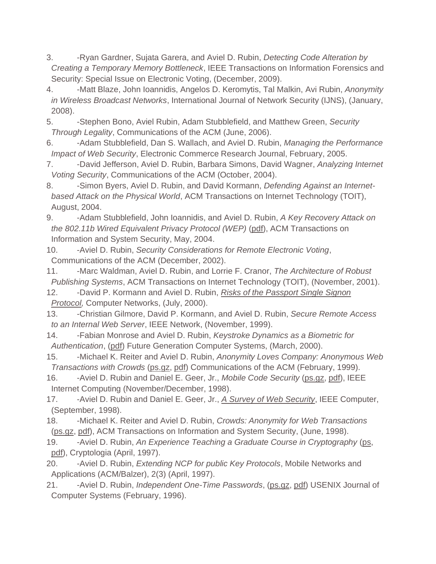- 3. -Ryan Gardner, Sujata Garera, and Aviel D. Rubin, *Detecting Code Alteration by Creating a Temporary Memory Bottleneck*, IEEE Transactions on Information Forensics and Security: Special Issue on Electronic Voting, (December, 2009).
- 4. -Matt Blaze, John Ioannidis, Angelos D. Keromytis, Tal Malkin, Avi Rubin, *Anonymity in Wireless Broadcast Networks*, International Journal of Network Security (IJNS), (January, 2008).
- 5. -Stephen Bono, Aviel Rubin, Adam Stubblefield, and Matthew Green, *Security Through Legality*, Communications of the ACM (June, 2006).
- 6. -Adam Stubblefield, Dan S. Wallach, and Aviel D. Rubin, *Managing the Performance Impact of Web Security*, Electronic Commerce Research Journal, February, 2005.
- 7. -David Jefferson, Aviel D. Rubin, Barbara Simons, David Wagner, *Analyzing Internet Voting Security*, Communications of the ACM (October, 2004).
- 8. -Simon Byers, Aviel D. Rubin, and David Kormann, *Defending Against an Internetbased Attack on the Physical World*, ACM Transactions on Internet Technology (TOIT), August, 2004.
- 9. -Adam Stubblefield, John Ioannidis, and Aviel D. Rubin, *A Key Recovery Attack on the 802.11b Wired Equivalent Privacy Protocol (WEP)* [\(pdf\)](http://avirubin.com/wep.pdf), ACM Transactions on Information and System Security, May, 2004.
- 10. -Aviel D. Rubin, *Security Considerations for Remote Electronic Voting*, Communications of the ACM (December, 2002).
- 11. -Marc Waldman, Aviel D. Rubin, and Lorrie F. Cranor, *The Architecture of Robust Publishing Systems*, ACM Transactions on Internet Technology (TOIT), (November, 2001).
- 12. -David P. Kormann and Aviel D. Rubin, *[Risks of the Passport Single Signon](http://avirubin.com/passport.html)  [Protocol,](http://avirubin.com/passport.html)* Computer Networks, (July, 2000).
- 13. -Christian Gilmore, David P. Kormann, and Aviel D. Rubin, *Secure Remote Access to an Internal Web Server*, IEEE Network, (November, 1999).
- 14. -Fabian Monrose and Aviel D. Rubin, *Keystroke Dynamics as a Biometric for Authentication*, [\(pdf\)](http://avirubin.com/fgcs.pdf) Future Generation Computer Systems, (March, 2000).
- 15. -Michael K. Reiter and Aviel D. Rubin, *Anonymity Loves Company: Anonymous Web Transactions with Crowds* [\(ps.gz,](http://avirubin.com/cacm.ps.gz) [pdf\)](http://avirubin.com/cacm.pdf) Communications of the ACM (February, 1999).
- 16. -Aviel D. Rubin and Daniel E. Geer, Jr., *Mobile Code Security* [\(ps.gz,](http://avirubin.com/ieee.ic.ps.gz) [pdf\)](http://avirubin.com/ieee.ic.pdf), IEEE Internet Computing (November/December, 1998).
- 17. -Aviel D. Rubin and Daniel E. Geer, Jr., *[A Survey of Web Security](http://www.computer.org/computer/co1998/r9034abs.htm)*, IEEE Computer, (September, 1998).
- 18. -Michael K. Reiter and Aviel D. Rubin, *Crowds: Anonymity for Web Transactions* [\(ps.gz,](http://avirubin.com/crowds.ps.gz) [pdf\)](http://avirubin.com/crowds.pdf), ACM Transactions on Information and System Security, (June, 1998).
- 19. -Aviel D. Rubin, *An Experience Teaching a Graduate Course in Cryptography* [\(ps,](http://avirubin.com/fall95.ps) [pdf\)](http://avirubin.com/fall95.pdf), Cryptologia (April, 1997).
- 20. -Aviel D. Rubin, *Extending NCP for public Key Protocols*, Mobile Networks and Applications (ACM/Balzer), 2(3) (April, 1997).
- 21. -Aviel D. Rubin, *Independent One-Time Passwords*, [\(ps.gz,](http://avirubin.com/one-time.ps.gz) [pdf\)](http://avirubin.com/one-time.pdf) USENIX Journal of Computer Systems (February, 1996).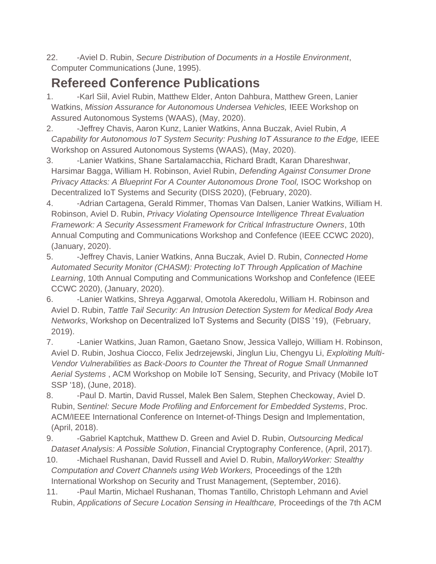22. -Aviel D. Rubin, *Secure Distribution of Documents in a Hostile Environment*, Computer Communications (June, 1995).

## **Refereed Conference Publications**

- 1. -Karl Siil, Aviel Rubin, Matthew Elder, Anton Dahbura, Matthew Green, Lanier Watkins, *Mission Assurance for Autonomous Undersea Vehicles,* IEEE Workshop on Assured Autonomous Systems (WAAS), (May, 2020).
- 2. -Jeffrey Chavis, Aaron Kunz, Lanier Watkins, Anna Buczak, Aviel Rubin, *A Capability for Autonomous IoT System Security: Pushing IoT Assurance to the Edge, IEEE* Workshop on Assured Autonomous Systems (WAAS), (May, 2020).
- 3. -Lanier Watkins, Shane Sartalamacchia, Richard Bradt, Karan Dhareshwar, Harsimar Bagga, William H. Robinson, Aviel Rubin, *Defending Against Consumer Drone Privacy Attacks: A Blueprint For A Counter Autonomous Drone Tool, ISOC Workshop on* Decentralized IoT Systems and Security (DISS 2020), (February, 2020).
- 4. Adrian Cartagena, Gerald Rimmer, Thomas Van Dalsen, Lanier Watkins, William H. Robinson, Aviel D. Rubin, *Privacy Violating Opensource Intelligence Threat Evaluation Framework: A Security Assessment Framework for Critical Infrastructure Owners*, 10th Annual Computing and Communications Workshop and Confefence (IEEE CCWC 2020), (January, 2020).
- 5. -Jeffrey Chavis, Lanier Watkins, Anna Buczak, Aviel D. Rubin, *Connected Home Automated Security Monitor (CHASM): Protecting IoT Through Application of Machine Learning*, 10th Annual Computing and Communications Workshop and Confefence (IEEE CCWC 2020), (January, 2020).
- 6. -Lanier Watkins, Shreya Aggarwal, Omotola Akeredolu, William H. Robinson and Aviel D. Rubin, *Tattle Tail Security: An Intrusion Detection System for Medical Body Area Networks*, Workshop on Decentralized IoT Systems and Security (DISS '19), (February, 2019).
- 7. -Lanier Watkins, Juan Ramon, Gaetano Snow, Jessica Vallejo, William H. Robinson, Aviel D. Rubin, Joshua Ciocco, Felix Jedrzejewski, Jinglun Liu, Chengyu Li, *Exploiting Multi-Vendor Vulnerabilities as Back-Doors to Counter the Threat of Rogue Small Unmanned Aerial Systems* , ACM Workshop on Mobile IoT Sensing, Security, and Privacy (Mobile IoT SSP '18), (June, 2018).
- 8. Paul D. Martin, David Russel, Malek Ben Salem, Stephen Checkoway, Aviel D. Rubin, S*entinel: Secure Mode Profiling and Enforcement for Embedded Systems*, Proc. ACM/IEEE International Conference on Internet-of-Things Design and Implementation, (April, 2018).
- 9. Gabriel Kaptchuk, Matthew D. Green and Aviel D. Rubin, *Outsourcing Medical Dataset Analysis: A Possible Solution*, Financial Cryptography Conference, (April, 2017).
- 10. -Michael Rushanan, David Russell and Aviel D. Rubin, *MalloryWorker: Stealthy Computation and Covert Channels using Web Workers,* Proceedings of the 12th International Workshop on Security and Trust Management, (September, 2016).
- 11. Paul Martin, Michael Rushanan, Thomas Tantillo, Christoph Lehmann and Aviel Rubin, *Applications of Secure Location Sensing in Healthcare,* Proceedings of the 7th ACM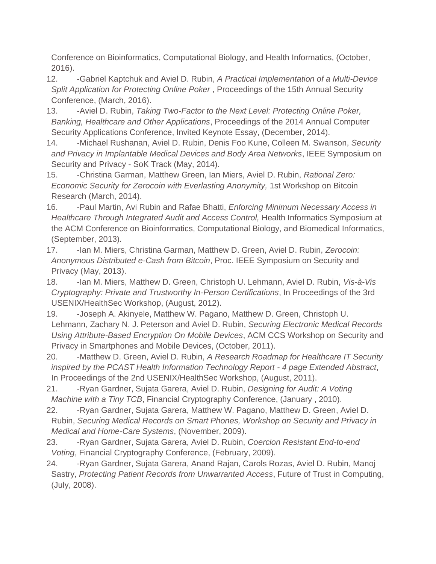Conference on Bioinformatics, Computational Biology, and Health Informatics, (October, 2016).

- 12. -Gabriel Kaptchuk and Aviel D. Rubin, *A Practical Implementation of a Multi-Device Split Application for Protecting Online Poker* , Proceedings of the 15th Annual Security Conference, (March, 2016).
- 13. -Aviel D. Rubin, *Taking Two-Factor to the Next Level: Protecting Online Poker, Banking, Healthcare and Other Applications*, Proceedings of the 2014 Annual Computer Security Applications Conference, Invited Keynote Essay, (December, 2014).
- 14. -Michael Rushanan, Aviel D. Rubin, Denis Foo Kune, Colleen M. Swanson, *Security and Privacy in Implantable Medical Devices and Body Area Networks*, IEEE Symposium on Security and Privacy - SoK Track (May, 2014).
- 15. -Christina Garman, Matthew Green, Ian Miers, Aviel D. Rubin, *Rational Zero: Economic Security for Zerocoin with Everlasting Anonymity,* 1st Workshop on Bitcoin Research (March, 2014).
- 16. -Paul Martin, Avi Rubin and Rafae Bhatti, *Enforcing Minimum Necessary Access in Healthcare Through Integrated Audit and Access Control, Health Informatics Symposium at* the ACM Conference on Bioinformatics, Computational Biology, and Biomedical Informatics, (September, 2013).
- 17. -Ian M. Miers, Christina Garman, Matthew D. Green, Aviel D. Rubin, *Zerocoin: Anonymous Distributed e-Cash from Bitcoin*, Proc. IEEE Symposium on Security and Privacy (May, 2013).
- 18. -Ian M. Miers, Matthew D. Green, Christoph U. Lehmann, Aviel D. Rubin, *Vis-à-Vis Cryptography: Private and Trustworthy In-Person Certifications*, In Proceedings of the 3rd USENIX/HealthSec Workshop, (August, 2012).
- 19. -Joseph A. Akinyele, Matthew W. Pagano, Matthew D. Green, Christoph U. Lehmann, Zachary N. J. Peterson and Aviel D. Rubin, *Securing Electronic Medical Records Using Attribute-Based Encryption On Mobile Devices*, ACM CCS Workshop on Security and Privacy in Smartphones and Mobile Devices, (October, 2011).
- 20. -Matthew D. Green, Aviel D. Rubin, *A Research Roadmap for Healthcare IT Security inspired by the PCAST Health Information Technology Report - 4 page Extended Abstract*, In Proceedings of the 2nd USENIX/HealthSec Workshop, (August, 2011).
- 21. -Ryan Gardner, Sujata Garera, Aviel D. Rubin, *Designing for Audit: A Voting Machine with a Tiny TCB*, Financial Cryptography Conference, (January , 2010).
- 22. -Ryan Gardner, Sujata Garera, Matthew W. Pagano, Matthew D. Green, Aviel D. Rubin, *Securing Medical Records on Smart Phones, Workshop on Security and Privacy in Medical and Home-Care Systems*, (November, 2009).
- 23. -Ryan Gardner, Sujata Garera, Aviel D. Rubin, *Coercion Resistant End-to-end Voting*, Financial Cryptography Conference, (February, 2009).
- 24. -Ryan Gardner, Sujata Garera, Anand Rajan, Carols Rozas, Aviel D. Rubin, Manoj Sastry, *Protecting Patient Records from Unwarranted Access*, Future of Trust in Computing, (July, 2008).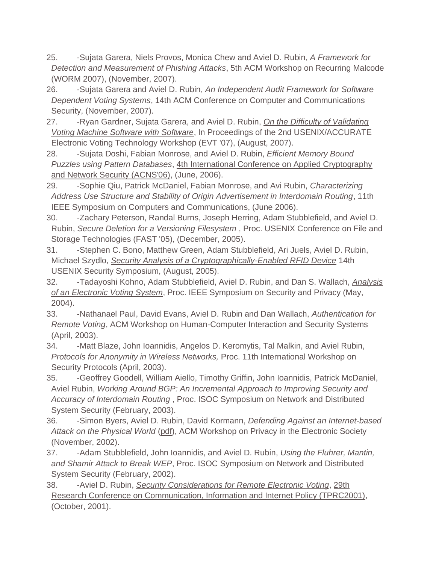- 25. -Sujata Garera, Niels Provos, Monica Chew and Aviel D. Rubin, *A Framework for Detection and Measurement of Phishing Attacks*, 5th ACM Workshop on Recurring Malcode (WORM 2007), (November, 2007).
- 26. -Sujata Garera and Aviel D. Rubin, *An Independent Audit Framework for Software Dependent Voting Systems*, 14th ACM Conference on Computer and Communications Security, (November, 2007).
- 27. Ryan Gardner, Sujata Garera, and Aviel D. Rubin, *On the Difficulty of Validating [Voting Machine Software with Software](http://accurate-voting.org/wp-content/uploads/2007/08/evt07-gardner.pdf)*, In Proceedings of the 2nd USENIX/ACCURATE Electronic Voting Technology Workshop (EVT '07), (August, 2007).
- 28. Sujata Doshi, Fabian Monrose, and Aviel D. Rubin, *Efficient Memory Bound Puzzles using Pattern Databases*, [4th International Conference on Applied Cryptography](http://acns2006.i2r.a-star.edu.sg/)  [and Network Security \(ACNS'06\),](http://acns2006.i2r.a-star.edu.sg/) (June, 2006).
- 29. -Sophie Qiu, Patrick McDaniel, Fabian Monrose, and Avi Rubin, *Characterizing Address Use Structure and Stability of Origin Advertisement in Interdomain Routing*, 11th IEEE Symposium on Computers and Communications, (June 2006).
- 30. -Zachary Peterson, Randal Burns, Joseph Herring, Adam Stubblefield, and Aviel D. Rubin, *Secure Deletion for a Versioning Filesystem* , Proc. USENIX Conference on File and Storage Technologies (FAST '05), (December, 2005).
- 31. -Stephen C. Bono, Matthew Green, Adam Stubblefield, Ari Juels, Aviel D. Rubin, Michael Szydlo, *[Security Analysis of a Cryptographically-Enabled RFID Device](http://rfidanalysis.org/)* 14th USENIX Security Symposium, (August, 2005).
- 32. -Tadayoshi Kohno, Adam Stubblefield, Aviel D. Rubin, and Dan S. Wallach, *[Analysis](http://avirubin.com/vote.pdf)  [of an Electronic Voting System](http://avirubin.com/vote.pdf)*, Proc. IEEE Symposium on Security and Privacy (May, 2004).
- 33. -Nathanael Paul, David Evans, Aviel D. Rubin and Dan Wallach, *Authentication for Remote Voting*, ACM Workshop on Human-Computer Interaction and Security Systems (April, 2003).
- 34. -Matt Blaze, John Ioannidis, Angelos D. Keromytis, Tal Malkin, and Aviel Rubin, *Protocols for Anonymity in Wireless Networks,* Proc. 11th International Workshop on Security Protocols (April, 2003).
- 35. -Geoffrey Goodell, William Aiello, Timothy Griffin, John Ioannidis, Patrick McDaniel, Aviel Rubin, *Working Around BGP: An Incremental Approach to Improving Security and Accuracy of Interdomain Routing* , Proc. ISOC Symposium on Network and Distributed System Security (February, 2003).
- 36. -Simon Byers, Aviel D. Rubin, David Kormann, *Defending Against an Internet-based Attack on the Physical World* [\(pdf\)](http://avirubin.com/scripted.attacks.pdf), ACM Workshop on Privacy in the Electronic Society (November, 2002).
- 37. -Adam Stubblefield, John Ioannidis, and Aviel D. Rubin, *Using the Fluhrer, Mantin, and Shamir Attack to Break WEP*, Proc. ISOC Symposium on Network and Distributed System Security (February, 2002).
- 38. -Aviel D. Rubin, *[Security Considerations for Remote Electronic Voting](http://avirubin.com/e-voting.security.html)*, [29th](http://www.tprc.org/TPRC01/2001.HTM)  [Research Conference on Communication, Information and Internet Policy \(TPRC2001\),](http://www.tprc.org/TPRC01/2001.HTM) (October, 2001).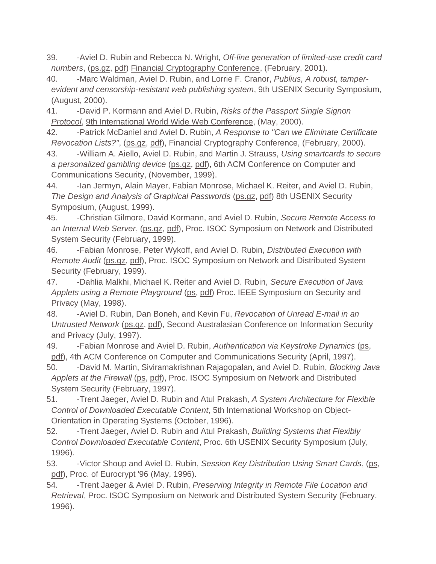- 39. -Aviel D. Rubin and Rebecca N. Wright, *Off-line generation of limited-use credit card numbers*, [\(ps.gz,](http://avirubin.com/credit.cards.ps.gz) [pdf\)](http://avirubin.com/credit.cards.pdf) [Financial Cryptography Conference,](http://fc01.ai/) (February, 2001).
- 40. -Marc Waldman, Aviel D. Rubin, and Lorrie F. Cranor, *[Publius,](http://avirubin.com/publius.pdf) A robust, tamperevident and censorship-resistant web publishing system*, 9th USENIX Security Symposium, (August, 2000).

41. -David P. Kormann and Aviel D. Rubin, *[Risks of the Passport Single Signon](http://avirubin.com/passport.html)  [Protocol](http://avirubin.com/passport.html)*, [9th International World Wide Web Conference,](http://www9.org/) (May, 2000).

- 42. -Patrick McDaniel and Aviel D. Rubin, *A Response to "Can we Eliminate Certificate Revocation Lists?"*, [\(ps.gz,](http://avirubin.com/finc00.ps.gz) [pdf\)](http://avirubin.com/finc00.pdf), Financial Cryptography Conference, (February, 2000).
- 43. -William A. Aiello, Aviel D. Rubin, and Martin J. Strauss, *Using smartcards to secure a personalized gambling device* [\(ps.gz,](http://avirubin.com/gamble.ps.gz) [pdf\)](http://avirubin.com/gamble.pdf), 6th ACM Conference on Computer and Communications Security, (November, 1999).
- 44. Ian Jermyn, Alain Mayer, Fabian Monrose, Michael K. Reiter, and Aviel D. Rubin, *The Design and Analysis of Graphical Passwords* [\(ps.gz,](http://avirubin.com/gpw.ps.gz) [pdf\)](http://avirubin.com/gpw.pdf) 8th USENIX Security Symposium, (August, 1999).
- 45. -Christian Gilmore, David Kormann, and Aviel D. Rubin, *Secure Remote Access to an Internal Web Server*, [\(ps.gz,](http://avirubin.com/absent.ps.gz) [pdf\)](http://avirubin.com/absent.pdf), Proc. ISOC Symposium on Network and Distributed System Security (February, 1999).
- 46. -Fabian Monrose, Peter Wykoff, and Aviel D. Rubin, *Distributed Execution with Remote Audit* [\(ps.gz,](http://avirubin.com/audit.ps.gz) [pdf\)](http://avirubin.com/audit.pdf), Proc. ISOC Symposium on Network and Distributed System Security (February, 1999).
- 47. -Dahlia Malkhi, Michael K. Reiter and Aviel D. Rubin, *Secure Execution of Java Applets using a Remote Playground* [\(ps,](http://avirubin.com/playground.ps) [pdf\)](http://avirubin.com/playground.pdf) Proc. IEEE Symposium on Security and Privacy (May, 1998).
- 48. -Aviel D. Rubin, Dan Boneh, and Kevin Fu, *Revocation of Unread E-mail in an Untrusted Network* [\(ps.gz,](http://avirubin.com/email.ps.gz) [pdf\)](http://avirubin.com/email.pdf), Second Australasian Conference on Information Security and Privacy (July, 1997).

49. -Fabian Monrose and Aviel D. Rubin, *Authentication via Keystroke Dynamics* [\(ps,](http://avirubin.com/keystroke.ps) [pdf\)](http://avirubin.com/keystroke.pdf), 4th ACM Conference on Computer and Communications Security (April, 1997).

- 50. -David M. Martin, Siviramakrishnan Rajagopalan, and Aviel D. Rubin, *Blocking Java Applets at the Firewall* [\(ps,](http://avirubin.com/block.java.ps) [pdf\)](http://avirubin.com/block.java.pdf), Proc. ISOC Symposium on Network and Distributed System Security (February, 1997).
- 51. -Trent Jaeger, Aviel D. Rubin and Atul Prakash, *A System Architecture for Flexible Control of Downloaded Executable Content*, 5th International Workshop on Object-Orientation in Operating Systems (October, 1996).
- 52. -Trent Jaeger, Aviel D. Rubin and Atul Prakash, *Building Systems that Flexibly Control Downloaded Executable Content*, Proc. 6th USENIX Security Symposium (July, 1996).
- 53. -Victor Shoup and Aviel D. Rubin, *Session Key Distribution Using Smart Cards*, [\(ps,](http://avirubin.com/keydist.ps) [pdf\)](http://avirubin.com/smartcard.keys.pdf), Proc. of Eurocrypt '96 (May, 1996).
- 54. -Trent Jaeger & Aviel D. Rubin, *Preserving Integrity in Remote File Location and Retrieval*, Proc. ISOC Symposium on Network and Distributed System Security (February, 1996).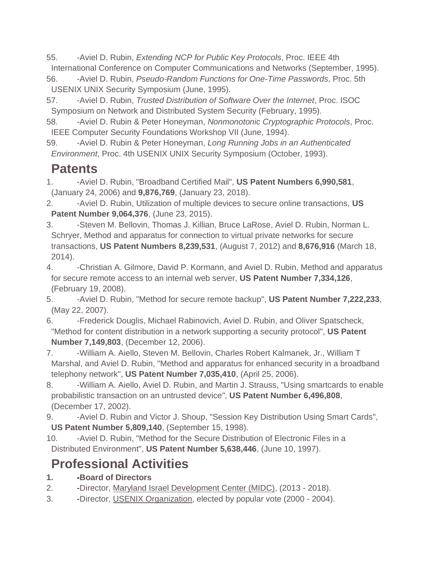55. -Aviel D. Rubin, *Extending NCP for Public Key Protocols*, Proc. IEEE 4th International Conference on Computer Communications and Networks (September, 1995).

56. -Aviel D. Rubin, *Pseudo-Random Functions for One-Time Passwords*, Proc. 5th USENIX UNIX Security Symposium (June, 1995).

- 57. -Aviel D. Rubin, *Trusted Distribution of Software Over the Internet*, Proc. ISOC Symposium on Network and Distributed System Security (February, 1995).
- 58. -Aviel D. Rubin & Peter Honeyman, *Nonmonotonic Cryptographic Protocols*, Proc. IEEE Computer Security Foundations Workshop VII (June, 1994).
- 59. -Aviel D. Rubin & Peter Honeyman, *Long Running Jobs in an Authenticated Environment*, Proc. 4th USENIX UNIX Security Symposium (October, 1993).

## **Patents**

- 1. -Aviel D. Rubin, "Broadband Certified Mail", **US Patent Numbers 6,990,581**, (January 24, 2006) and **9,876,769**, (January 23, 2018).
- 2. -Aviel D. Rubin, Utilization of multiple devices to secure online transactions, **US Patent Number 9,064,376**, (June 23, 2015).
- 3. -Steven M. Bellovin, Thomas J. Killian, Bruce LaRose, Aviel D. Rubin, Norman L. Schryer, Method and apparatus for connection to virtual private networks for secure transactions, **US Patent Numbers 8,239,531**, (August 7, 2012) and **8,676,916** (March 18, 2014).
- 4. -Christian A. Gilmore, David P. Kormann, and Aviel D. Rubin, Method and apparatus for secure remote access to an internal web server, **US Patent Number 7,334,126**, (February 19, 2008).
- 5. -Aviel D. Rubin, "Method for secure remote backup", **US Patent Number 7,222,233**, (May 22, 2007).
- 6. -Frederick Douglis, Michael Rabinovich, Aviel D. Rubin, and Oliver Spatscheck, "Method for content distribution in a network supporting a security protocol", **US Patent Number 7,149,803**, (December 12, 2006).
- 7. -William A. Aiello, Steven M. Bellovin, Charles Robert Kalmanek, Jr., William T Marshal, and Aviel D. Rubin, "Method and apparatus for enhanced security in a broadband telephony network", **US Patent Number 7,035,410**, (April 25, 2006).
- 8. -William A. Aiello, Aviel D. Rubin, and Martin J. Strauss, "Using smartcards to enable probabilistic transaction on an untrusted device", **US Patent Number 6,496,808**, (December 17, 2002).
- 9. -Aviel D. Rubin and Victor J. Shoup, "Session Key Distribution Using Smart Cards", **US Patent Number 5,809,140**, (September 15, 1998).
- 10. -Aviel D. Rubin, "Method for the Secure Distribution of Electronic Files in a Distributed Environment", **US Patent Number 5,638,446**, (June 10, 1997).

# **Professional Activities**

- **1. -Board of Directors**
- 2. -Director, [Maryland Israel Development Center \(MIDC\),](http://www.usenix.org/) (2013 2018).
- 3. -Director, [USENIX Organization,](http://www.usenix.org/) elected by popular vote (2000 2004).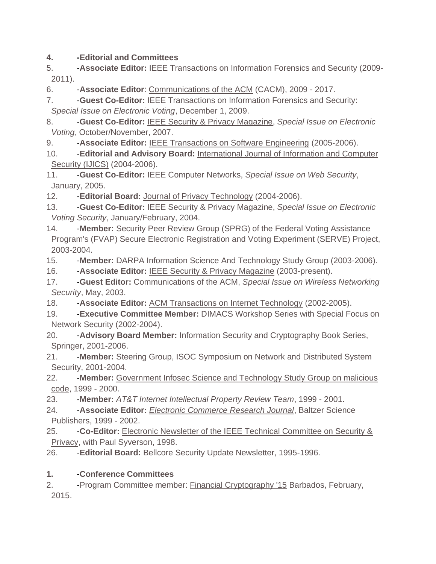#### **4. -Editorial and Committees**

5. -**Associate Editor:** IEEE Transactions on Information Forensics and Security (2009- 2011).

6. -**Associate Editor**: [Communications of the ACM](http://cacm.acm.org/) (CACM), 2009 - 2017.

7. -**Guest Co-Editor:** IEEE Transactions on Information Forensics and Security: *Special Issue on Electronic Voting*, December 1, 2009.

8. -**Guest Co-Editor:** [IEEE Security & Privacy Magazine,](http://www.computer.org/security/) *Special Issue on Electronic Voting*, October/November, 2007.

9. **-Associate Editor: [IEEE Transactions on Software Engineering](http://www.computer.org/tse/) (2005-2006).** 

10. -**Editorial and Advisory Board:** [International Journal of Information and Computer](http://www.icebnet.org/IJICS/)  [Security \(IJICS\)](http://www.icebnet.org/IJICS/) (2004-2006).

11. -**Guest Co-Editor:** IEEE Computer Networks, *Special Issue on Web Security*, January, 2005.

12. -**Editorial Board:** [Journal of Privacy Technology](http://www.jopt.org/) (2004-2006).

13. -**Guest Co-Editor:** [IEEE Security & Privacy Magazine,](http://www.computer.org/security/) *Special Issue on Electronic Voting Security*, January/February, 2004.

14. **-Member:** Security Peer Review Group (SPRG) of the Federal Voting Assistance Program's (FVAP) Secure Electronic Registration and Voting Experiment (SERVE) Project, 2003-2004.

15. -**Member:** DARPA Information Science And Technology Study Group (2003-2006).

16. -**Associate Editor:** [IEEE Security & Privacy Magazine](http://www.computer.org/security/) (2003-present).

17. -**Guest Editor:** Communications of the ACM, *Special Issue on Wireless Networking Security*, May, 2003.

18. -**Associate Editor:** [ACM Transactions on Internet Technology](http://www.acm.org/pubs/periodicals/toit/) (2002-2005).

19. -**Executive Committee Member:** DIMACS Workshop Series with Special Focus on Network Security (2002-2004).

20. -**Advisory Board Member:** Information Security and Cryptography Book Series, Springer, 2001-2006.

21. - **Member:** Steering Group, ISOC Symposium on Network and Distributed System Security, 2001-2004.

22. -**Member:** [Government Infosec Science and Technology Study Group on malicious](http://www.rstcorp.com/irc/)  [code,](http://www.rstcorp.com/irc/) 1999 - 2000.

23. -**Member:** *AT&T Internet Intellectual Property Review Team*, 1999 - 2001.

24. -**Associate Editor:** *[Electronic Commerce Research Journal](http://www.baltzer.nl/ecr/)*, Baltzer Science Publishers, 1999 - 2002.

25. -**Co-Editor:** [Electronic Newsletter of the IEEE Technical Committee on Security &](http://www.ieee-security.org/cipher.html)  [Privacy,](http://www.ieee-security.org/cipher.html) with Paul Syverson, 1998.

26. -**Editorial Board:** Bellcore Security Update Newsletter, 1995-1996.

#### **1. -Conference Committees**

2. -Program Committee member: [Financial Cryptography '15](http://www.ifca.ai/) Barbados, February, 2015.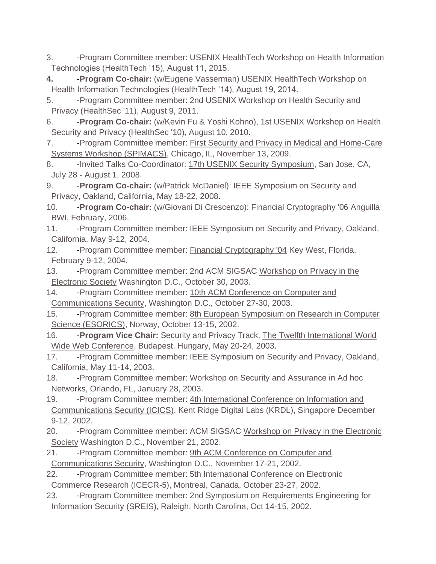- 3. -Program Committee member: USENIX HealthTech Workshop on Health Information Technologies (HealthTech '15), August 11, 2015.
- **4. -Program Co-chair:** (w/Eugene Vasserman) USENIX HealthTech Workshop on Health Information Technologies (HealthTech '14), August 19, 2014.
- 5. -Program Committee member: 2nd USENIX Workshop on Health Security and Privacy (HealthSec '11), August 9, 2011.
- 6. -**Program Co-chair:** (w/Kevin Fu & Yoshi Kohno), 1st USENIX Workshop on Health Security and Privacy (HealthSec '10), August 10, 2010.
- 7. -Program Committee member: First Security and Privacy in Medical and Home-Care [Systems Workshop \(SPIMACS\),](http://www.infosecon.net/SPIMACS/) Chicago, IL, November 13, 2009.
- 8. Invited Talks Co-Coordinator: [17th USENIX Security Symposium,](http://www.usenix.org/events/sec99/) San Jose, CA, July 28 - August 1, 2008.
- 9. **-Program Co-chair:** (w/Patrick McDaniel): IEEE Symposium on Security and Privacy, Oakland, California, May 18-22, 2008.
- 10. -**Program Co-chair:** (w/Giovani Di Crescenzo): [Financial Cryptography '06](http://www.ifca.ai/) Anguilla BWI, February, 2006.
- 11. Program Committee member: IEEE Symposium on Security and Privacy, Oakland, California, May 9-12, 2004.
- 12. -Program Committee member: [Financial Cryptography '04](http://www.ifca.ai/fc04) Key West, Florida, February 9-12, 2004.
- 13. -Program Committee member: 2nd ACM SIGSAC Workshop on Privacy in the [Electronic Society](http://seclab.dti.unimi.it/wpes2003/) Washington D.C., October 30, 2003.
- 14. -Program Committee member: 10th ACM Conference on Computer and
- [Communications Security,](http://cimic.rutgers.edu/ccs03/) Washington D.C., October 27-30, 2003.
- 15. Program Committee member: 8th European Symposium on Research in Computer [Science \(ESORICS\),](http://www.hig.no/esorics2003/) Norway, October 13-15, 2002.
- 16. -**Program Vice Chair:** Security and Privacy Track, [The Twelfth International](http://www2003.org/) World [Wide Web Conference,](http://www2003.org/) Budapest, Hungary, May 20-24, 2003.
- 17. -Program Committee member: IEEE Symposium on Security and Privacy, Oakland, California, May 11-14, 2003.
- 18. Program Committee member: Workshop on Security and Assurance in Ad hoc Networks, Orlando, FL, January 28, 2003.
- 19. Program Committee member: 4th International Conference on Information and [Communications Security \(ICICS\),](http://www.krdl.org.sg/General/conferences/icics/Homepage.html) Kent Ridge Digital Labs (KRDL), Singapore December 9-12, 2002.
- 20. -Program Committee member: ACM SIGSAC Workshop on Privacy in the Electronic [Society](http://seclab.dti.unimi.it/~wpes/) Washington D.C., November 21, 2002.
- 21. Program Committee member: 9th ACM Conference on Computer and [Communications Security,](http://www.acm.org/sigs/sigsac/ccs/) Washington D.C., November 17-21, 2002.
- 22. Program Committee member: 5th International Conference on Electronic Commerce Research (ICECR-5), Montreal, Canada, October 23-27, 2002.
- 23. Program Committee member: 2nd Symposium on Requirements Engineering for Information Security (SREIS), Raleigh, North Carolina, Oct 14-15, 2002.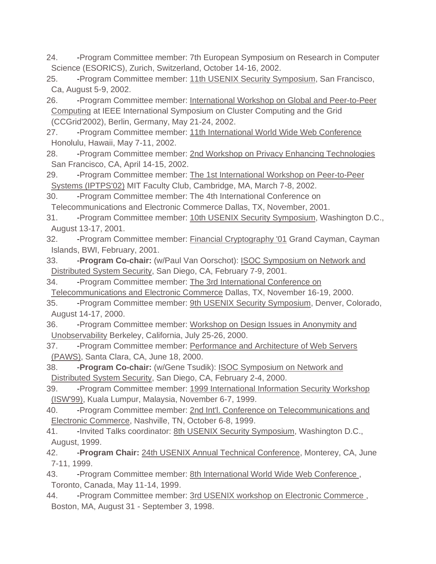24. -Program Committee member: 7th European Symposium on Research in Computer Science (ESORICS), Zurich, Switzerland, October 14-16, 2002.

25. - Program Committee member: [11th USENIX Security Symposium,](http://www.usenix.org/events/sec02/) San Francisco, Ca, August 5-9, 2002.

26. -Program Committee member: International Workshop on Global and Peer-to-Peer [Computing](http://www.lri.fr/~fci/GP2PC.htm) at IEEE International Symposium on Cluster Computing and the Grid (CCGrid'2002), Berlin, Germany, May 21-24, 2002.

27. - Program Committee member: 11th International World Wide Web Conference Honolulu, Hawaii, May 7-11, 2002.

28. -Program Committee member: 2nd Workshop on Privacy Enhancing Technologies San Francisco, CA, April 14-15, 2002.

29. - Program Committee member: The 1st International Workshop on Peer-to-Peer [Systems \(IPTPS'02\)](http://www.cs.rice.edu/Conferences/IPTPS02/) MIT Faculty Club, Cambridge, MA, March 7-8, 2002.

30. -Program Committee member: The 4th International Conference on Telecommunications and Electronic Commerce Dallas, TX, November, 2001.

31. - Program Committee member: [10th USENIX Security Symposium,](http://www.usenix.org/events/sec01/) Washington D.C., August 13-17, 2001.

32. -Program Committee member: [Financial Cryptography '01](http://www.syverson.org/cfpfc01.html) Grand Cayman, Cayman Islands, BWI, February, 2001.

33. -**Program Co-chair:** (w/Paul Van Oorschot): [ISOC Symposium on Network and](http://www.isoc.org/ndss01/)  [Distributed System Security,](http://www.isoc.org/ndss01/) San Diego, CA, February 7-9, 2001.

34. - Program Committee member: The 3rd International Conference on [Telecommunications and Electronic Commerce](http://tecom.cox.smu.edu/ictec/) Dallas, TX, November 16-19, 2000.

35. - Program Committee member: [9th USENIX Security Symposium,](http://www.usenix.org/events/sec2000/) Denver, Colorado, August 14-17, 2000.

36. -Program Committee member: Workshop on Design Issues in Anonymity and [Unobservability](http://www.icsi.berkeley.edu/~hannes/ws.html) Berkeley, California, July 25-26, 2000.

37. - Program Committee member: Performance and Architecture of Web Servers [\(PAWS\),](http://kkant.ccwebhost.com/PAWS/callforpapers.html) Santa Clara, CA, June 18, 2000.

38. -**Program Co-chair:** (w/Gene Tsudik): [ISOC Symposium on Network and](http://www.isoc.org/ndss2000/)  [Distributed System Security,](http://www.isoc.org/ndss2000/) San Diego, CA, February 2-4, 2000.

39. - Program Committee member: 1999 International Information Security Workshop [\(ISW'99\),](http://www.musm.edu.my/BusIT/isw99/) Kuala Lumpur, Malaysia, November 6-7, 1999.

40. - Program Committee member: 2nd Int'l. Conference on Telecommunications and [Electronic Commerce,](http://cottonian.ogsm.vanderbilt.edu/ictec99/) Nashville, TN, October 6-8, 1999.

41. - Invited Talks coordinator: [8th USENIX Security Symposium,](http://www.usenix.org/events/sec99/) Washington D.C., August, 1999.

42. -**Program Chair:** [24th USENIX Annual Technical Conference,](http://www.usenix.org/events/usenix99/) Monterey, CA, June 7-11, 1999.

43. - Program Committee member: 8th International World Wide Web Conference, Toronto, Canada, May 11-14, 1999.

44. -Program Committee member: 3rd USENIX workshop on Electronic Commerce, Boston, MA, August 31 - September 3, 1998.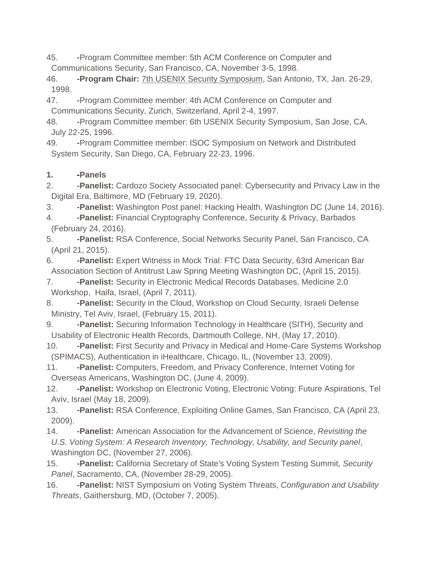45. -Program Committee member: 5th ACM Conference on Computer and Communications Security, San Francisco, CA, November 3-5, 1998.

46. -**Program Chair:** [7th USENIX Security Symposium,](http://www.usenix.org/) San Antonio, TX, Jan. 26-29, 1998.

47. -Program Committee member: 4th ACM Conference on Computer and Communications Security, Zurich, Switzerland, April 2-4, 1997.

48. - Program Committee member: 6th USENIX Security Symposium, San Jose, CA, July 22-25, 1996.

49. - Program Committee member: ISOC Symposium on Network and Distributed System Security, San Diego, CA, February 22-23, 1996.

#### **1. -Panels**

2. -**Panelist:** Cardozo Society Associated panel: Cybersecurity and Privacy Law in the Digital Era, Baltimore, MD (February 19, 2020).

3. -**Panelist:** Washington Post panel: Hacking Health, Washington DC (June 14, 2016).

4. **-Panelist:** Financial Cryptography Conference, Security & Privacy, Barbados (February 24, 2016).

5. -**Panelist:** RSA Conference, Social Networks Security Panel, San Francisco, CA (April 21, 2015).

6. -**Panelist:** Expert Witness in Mock Trial: FTC Data Security, 63rd American Bar Association Section of Antitrust Law Spring Meeting Washington DC, (April 15, 2015).

7. **-Panelist:** Security in Electronic Medical Records Databases, Medicine 2.0 Workshop, Haifa, Israel, (April 7, 2011).

8. **- Panelist:** Security in the Cloud, Workshop on Cloud Security, Israeli Defense Ministry, Tel Aviv, Israel, (February 15, 2011).

9. **-Panelist:** Securing Information Technology in Healthcare (SITH), Security and Usability of Electronic Health Records, Dartmouth College, NH, (May 17, 2010).

10. -**Panelist:** First Security and Privacy in Medical and Home-Care Systems Workshop (SPIMACS), Authentication in iHealthcare, Chicago, IL, (November 13, 2009).

11. **-Panelist:** Computers, Freedom, and Privacy Conference, Internet Voting for Overseas Americans, Washington DC, (June 4, 2009).

12. -**Panelist:** Workshop on Electronic Voting, Electronic Voting: Future Aspirations, Tel Aviv, Israel (May 18, 2009).

13. -**Panelist:** RSA Conference, Exploiting Online Games, San Francisco, CA (April 23, 2009).

14. -**Panelist:** American Association for the Advancement of Science, *Revisiting the U.S. Voting System: A Research Inventory, Technology, Usability, and Security panel*, Washington DC, (November 27, 2006).

15. -**Panelist:** California Secretary of State's Voting System Testing Summit, *Security Panel*, Sacramento, CA, (November 28-29, 2005).

16. -**Panelist:** NIST Symposium on Voting System Threats, *Configuration and Usability Threats*, Gaithersburg, MD, (October 7, 2005).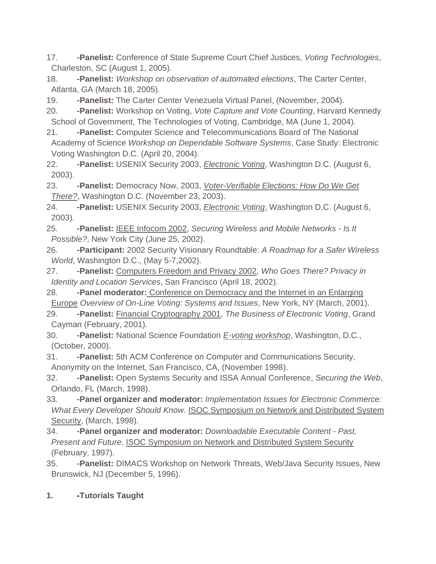17. -**Panelist:** Conference of State Supreme Court Chief Justices, *Voting Technologies*, Charleston, SC (August 1, 2005).

18. -**Panelist:** *Workshop on observation of automated elections*, The Carter Center, Atlanta, GA (March 18, 2005).

19. -**Panelist:** The Carter Center Venezuela Virtual Panel, (November, 2004).

20. -**Panelist:** Workshop on Voting, *Vote Capture and Vote Counting*, Harvard Kennedy School of Government, The Technologies of Voting, Cambridge, MA (June 1, 2004).

21. -**Panelist:** Computer Science and Telecommunications Board of The National Academy of Science *Workshop on Dependable Software Systems*, Case Study: Electronic Voting Washington D.C. (April 20, 2004).

22. -**Panelist:** USENIX Security 2003, *[Electronic Voting](http://www.usenix.org/events/sec03/tech.html)*, Washington D.C. (August 6, 2003).

23. -**Panelist:** Democracy Now, 2003, *[Voter-Verifiable Elections: How Do We Get](http://www.democracyusa.org/events/sundayworkshops.html)  [There?](http://www.democracyusa.org/events/sundayworkshops.html)*, Washington D.C. (November 23, 2003).

24. -**Panelist:** USENIX Security 2003, *[Electronic Voting](http://www.usenix.org/events/sec03/tech.html)*, Washington D.C. (August 6, 2003).

25. -**Panelist:** [IEEE Infocom 2002,](http://www.ieee-infocom.org/2002/) *Securing Wireless and Mobile Networks - Is It Possible?*, New York City (June 25, 2002).

26. -**Participant:** 2002 Security Visionary Roundtable: *A Roadmap for a Safer Wireless World*, Washington D.C., (May 5-7,2002).

27. -**Panelist:** [Computers Freedom and Privacy 2002,](http://www.cfp2002.org/) *Who Goes There? Privacy in Identity and Location Services*, San Francisco (April 18, 2002).

28. -**Panel moderator:** [Conference on Democracy and the Internet in an Enlarging](http://www.democracyinternet.com/)  [Europe](http://www.democracyinternet.com/) *Overview of On-Line Voting: Systems and Issues*, New York, NY (March, 2001).

29. -**Panelist:** [Financial Cryptography 2001,](http://fc01.ai/) *The Business of Electronic Voting*, Grand Cayman (February, 2001).

30. -**Panelist:** National Science Foundation *[E-voting workshop](http://www.netvoting.org/)*, Washington, D.C., (October, 2000).

31. -**Panelist:** 5th ACM Conference on Computer and Communications Security, Anonymity on the Internet, San Francisco, CA, (November 1998).

32. -**Panelist:** Open Systems Security and ISSA Annual Conference, *Securing the Web*, Orlando, FL (March, 1998).

33. -**Panel organizer and moderator:** *Implementation Issues for Electronic Commerce: What Every Developer Should Know*. [ISOC Symposium on Network and Distributed System](http://www.isoc.org/conferences/)  [Security,](http://www.isoc.org/conferences/) (March, 1998).

34. -**Panel organizer and moderator:** *Downloadable Executable Content - Past, Present and Future*. [ISOC Symposium on Network and Distributed System Security](http://www.isoc.org/conferences/ndss97/) (February, 1997).

35. -**Panelist:** DIMACS Workshop on Network Threats, Web/Java Security Issues, New Brunswick, NJ (December 5, 1996).

#### **1. -Tutorials Taught**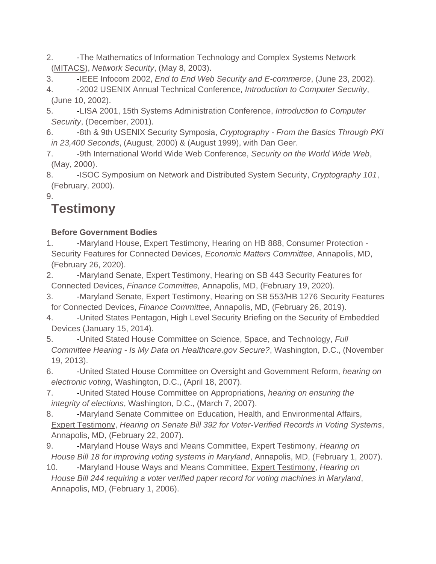- 2. The Mathematics of Information Technology and Complex Systems Network [\(MITACS\)](http://www.mitacs.ca/AC2003), *Network Security*, (May 8, 2003).
- 3. -IEEE Infocom 2002, *End to End Web Security and E-commerce*, (June 23, 2002).
- 4. -2002 USENIX Annual Technical Conference, *Introduction to Computer Security*, (June 10, 2002).
- 5. -LISA 2001, 15th Systems Administration Conference, *Introduction to Computer Security*, (December, 2001).
- 6. -8th & 9th USENIX Security Symposia, *Cryptography From the Basics Through PKI in 23,400 Seconds*, (August, 2000) & (August 1999), with Dan Geer.
- 7. 9th International World Wide Web Conference, *Security on the World Wide Web*, (May, 2000).
- 8. -ISOC Symposium on Network and Distributed System Security, *Cryptography 101*, (February, 2000).

9.

# **Testimony**

#### **Before Government Bodies**

- 1. Maryland House, Expert Testimony, Hearing on HB 888, Consumer Protection -Security Features for Connected Devices, *Economic Matters Committee,* Annapolis, MD, (February 26, 2020).
- 2. Maryland Senate, Expert Testimony, Hearing on SB 443 Security Features for Connected Devices, *Finance Committee,* Annapolis, MD, (February 19, 2020).
- 3. -Maryland Senate, Expert Testimony, Hearing on SB 553/HB 1276 Security Features for Connected Devices, *Finance Committee,* Annapolis, MD, (February 26, 2019).
- 4. -United States Pentagon, High Level Security Briefing on the Security of Embedded Devices (January 15, 2014).
- 5. -United Stated House Committee on Science, Space, and Technology, *Full Committee Hearing - Is My Data on Healthcare.gov Secure?*, Washington, D.C., (November 19, 2013).
- 6. -United Stated House Committee on Oversight and Government Reform, *hearing on electronic voting*, Washington, D.C., (April 18, 2007).
- 7. -United Stated House Committee on Appropriations, *hearing on ensuring the integrity of elections*, Washington, D.C., (March 7, 2007).
- 8. Maryland Senate Committee on Education, Health, and Environmental Affairs, Expert Testimony, *Hearing on Senate Bill 392 for Voter-Verified Records in Voting Systems*, Annapolis, MD, (February 22, 2007).
- 9. **-Maryland House Ways and Means Committee, Expert Testimony, Hearing on** *House Bill 18 for improving voting systems in Maryland*, Annapolis, MD, (February 1, 2007).
- 10. -Maryland House Ways and Means Committee, [Expert Testimony,](http://avirubin.com/MD.ways.means.2-06.pdf) *Hearing on House Bill 244 requiring a voter verified paper record for voting machines in Maryland*, Annapolis, MD, (February 1, 2006).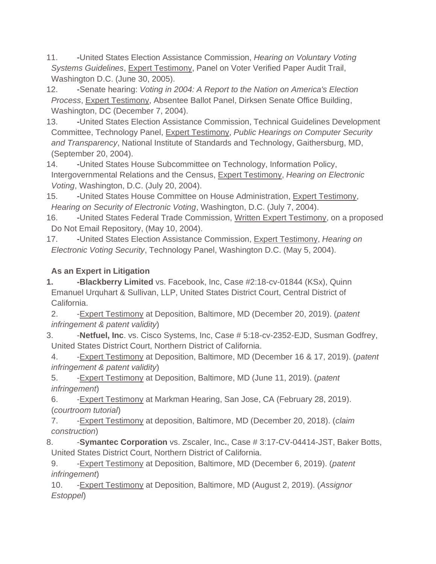- 11. -United States Election Assistance Commission, *Hearing on Voluntary Voting Systems Guidelines*, [Expert Testimony,](http://avirubin.com/MD.ways.means.2-06.pdf) Panel on Voter Verified Paper Audit Trail, Washington D.C. (June 30, 2005).
- 12. Senate hearing: *Voting in 2004: A Report to the Nation on America's Election Process*, [Expert Testimony,](http://avirubin.com/MD.ways.means.2-06.pdf) Absentee Ballot Panel, Dirksen Senate Office Building, Washington, DC (December 7, 2004).
- 13. United States Election Assistance Commission, Technical Guidelines Development Committee, Technology Panel, [Expert Testimony,](http://avirubin.com/MD.ways.means.2-06.pdf) *Public Hearings on Computer Security and Transparency*, National Institute of Standards and Technology, Gaithersburg, MD, (September 20, 2004).
- 14. United States House Subcommittee on Technology, Information Policy, Intergovernmental Relations and the Census, [Expert Testimony,](http://avirubin.com/MD.ways.means.2-06.pdf) *Hearing on Electronic Voting*, Washington, D.C. (July 20, 2004).
- 15. United States House Committee on House Administration, [Expert Testimony,](http://avirubin.com/MD.ways.means.2-06.pdf) *Hearing on Security of Electronic Voting*, Washington, D.C. (July 7, 2004).
- 16. -United States Federal Trade Commission, [Written Expert Testimony,](http://www.cs.jhu.edu/~rubin/Rubin.ftc.DoNotEmail.pdf) on a proposed Do Not Email Repository, (May 10, 2004).
- 17. -United States Election Assistance Commission, [Expert Testimony,](http://avirubin.com/MD.ways.means.2-06.pdf) *Hearing on Electronic Voting Security*, Technology Panel, Washington D.C. (May 5, 2004).

#### **As an Expert in Litigation**

**1. -Blackberry Limited** vs. Facebook, Inc, Case #2:18-cv-01844 (KSx), Quinn Emanuel Urquhart & Sullivan, LLP, United States District Court, Central District of California.

2. -Expert Testimony at Deposition, Baltimore, MD (December 20, 2019). (*patent infringement & patent validity*)

3. -**Netfuel, Inc**. vs. Cisco Systems, Inc, Case # 5:18-cv-2352-EJD, Susman Godfrey, United States District Court, Northern District of California.

4. -Expert Testimony at Deposition, Baltimore, MD (December 16 & 17, 2019). (*patent infringement & patent validity*)

5. -Expert Testimony at Deposition, Baltimore, MD (June 11, 2019). (*patent infringement*)

6. -Expert Testimony at Markman Hearing, San Jose, CA (February 28, 2019). (*courtroom tutorial*)

7. -Expert Testimony at deposition, Baltimore, MD (December 20, 2018). (*claim construction*)

8. **-Symantec Corporation** vs. Zscaler, Inc., Case # 3:17-CV-04414-JST, Baker Botts, United States District Court, Northern District of California.

9. -Expert Testimony at Deposition, Baltimore, MD (December 6, 2019). (*patent infringement*)

10. -Expert Testimony at Deposition, Baltimore, MD (August 2, 2019). (*Assignor Estoppel*)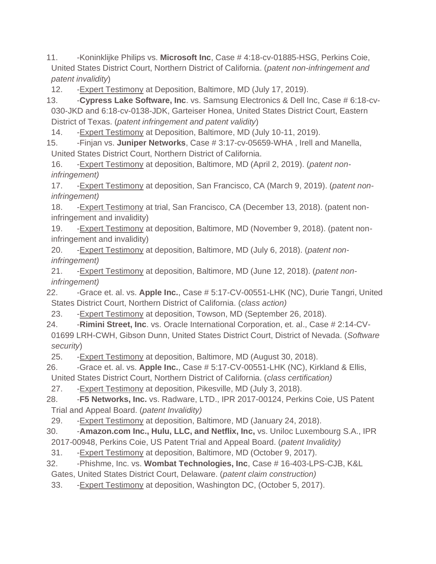11. -Koninklijke Philips vs. **Microsoft Inc**, Case # 4:18-cv-01885-HSG, Perkins Coie, United States District Court, Northern District of California. (*patent non-infringement and patent invalidity*)

12. -Expert Testimony at Deposition, Baltimore, MD (July 17, 2019).

13. -**Cypress Lake Software, Inc**. vs. Samsung Electronics & Dell Inc, Case # 6:18-cv-030-JKD and 6:18-cv-0138-JDK, Garteiser Honea, United States District Court, Eastern District of Texas. (*patent infringement and patent validity*)

14. -Expert Testimony at Deposition, Baltimore, MD (July 10-11, 2019).

15. -Finjan vs. **Juniper Networks**, Case # 3:17-cv-05659-WHA , Irell and Manella, United States District Court, Northern District of California.

16. -Expert Testimony at deposition, Baltimore, MD (April 2, 2019). (*patent noninfringement)*

17. -Expert Testimony at deposition, San Francisco, CA (March 9, 2019). (*patent noninfringement)*

18. -Expert Testimony at trial, San Francisco, CA (December 13, 2018). (patent noninfringement and invalidity)

19. -Expert Testimony at deposition, Baltimore, MD (November 9, 2018). (patent noninfringement and invalidity)

20. -Expert Testimony at deposition, Baltimore, MD (July 6, 2018). (*patent noninfringement)*

21. -Expert Testimony at deposition, Baltimore, MD (June 12, 2018). (*patent noninfringement)*

22. -Grace et. al. vs. **Apple Inc.**, Case # 5:17-CV-00551-LHK (NC), Durie Tangri, United States District Court, Northern District of California. (*class action)*

23. -Expert Testimony at deposition, Towson, MD (September 26, 2018).

24. -**Rimini Street, Inc**. vs. Oracle International Corporation, et. al., Case # 2:14-CV-01699 LRH-CWH, Gibson Dunn, United States District Court, District of Nevada. (*Software security*)

25. -Expert Testimony at deposition, Baltimore, MD (August 30, 2018).

26. -Grace et. al. vs. **Apple Inc.**, Case # 5:17-CV-00551-LHK (NC), Kirkland & Ellis, United States District Court, Northern District of California. (*class certification)*

27. -Expert Testimony at deposition, Pikesville, MD (July 3, 2018).

28. -**F5 Networks, Inc.** vs. Radware, LTD., IPR 2017-00124, Perkins Coie, US Patent Trial and Appeal Board. (*patent Invalidity)*

29. -Expert Testimony at deposition, Baltimore, MD (January 24, 2018).

30. -**Amazon.com Inc., Hulu, LLC, and Netflix, Inc,** vs. Uniloc Luxembourg S.A., IPR 2017-00948, Perkins Coie, US Patent Trial and Appeal Board. (*patent Invalidity)*

- 31. -Expert Testimony at deposition, Baltimore, MD (October 9, 2017).
- 32. -Phishme, Inc. vs. **Wombat Technologies, Inc**, Case # 16-403-LPS-CJB, K&L Gates, United States District Court, Delaware. (*patent claim construction)*

33. -Expert Testimony at deposition, Washington DC, (October 5, 2017).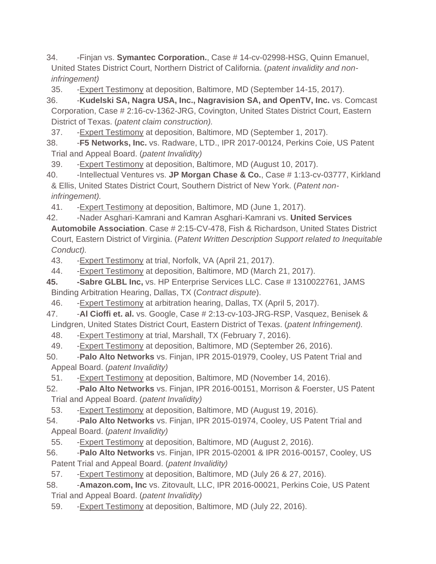34. -Finjan vs. **Symantec Corporation.**, Case # 14-cv-02998-HSG, Quinn Emanuel, United States District Court, Northern District of California. (*patent invalidity and noninfringement)*

35. -Expert Testimony at deposition, Baltimore, MD (September 14-15, 2017).

36. -**Kudelski SA, Nagra USA, Inc., Nagravision SA, and OpenTV, Inc.** vs. Comcast Corporation, Case # 2:16-cv-1362-JRG, Covington, United States District Court, Eastern District of Texas. (*patent claim construction).*

37. -Expert Testimony at deposition, Baltimore, MD (September 1, 2017).

38. -**F5 Networks, Inc.** vs. Radware, LTD., IPR 2017-00124, Perkins Coie, US Patent Trial and Appeal Board. (*patent Invalidity)*

39. -Expert Testimony at deposition, Baltimore, MD (August 10, 2017).

40. -Intellectual Ventures vs. **JP Morgan Chase & Co.**, Case # 1:13-cv-03777, Kirkland & Ellis, United States District Court, Southern District of New York. (*Patent noninfringement).*

41. -Expert Testimony at deposition, Baltimore, MD (June 1, 2017).

42. -Nader Asghari-Kamrani and Kamran Asghari-Kamrani vs. **United Services Automobile Association**. Case # 2:15-CV-478, Fish & Richardson, United States District Court, Eastern District of Virginia. (*Patent Written Description Support related to Inequitable Conduct).*

43. -Expert Testimony at trial, Norfolk, VA (April 21, 2017).

44. -Expert Testimony at deposition, Baltimore, MD (March 21, 2017).

**45. -Sabre GLBL Inc,** vs. HP Enterprise Services LLC. Case # 1310022761, JAMS Binding Arbitration Hearing, Dallas, TX (*Contract dispute*).

46. -Expert Testimony at arbitration hearing, Dallas, TX (April 5, 2017).

47. -**Al Cioffi et. al.** vs. Google, Case # 2:13-cv-103-JRG-RSP, Vasquez, Benisek & Lindgren, United States District Court, Eastern District of Texas. (*patent Infringement).*

48. -Expert Testimony at trial, Marshall, TX (February 7, 2016).

49. -Expert Testimony at deposition, Baltimore, MD (September 26, 2016).

50. -**Palo Alto Networks** vs. Finjan, IPR 2015-01979, Cooley, US Patent Trial and Appeal Board. (*patent Invalidity)*

51. -Expert Testimony at deposition, Baltimore, MD (November 14, 2016).

52. -**Palo Alto Networks** vs. Finjan, IPR 2016-00151, Morrison & Foerster, US Patent Trial and Appeal Board. (*patent Invalidity)*

53. -Expert Testimony at deposition, Baltimore, MD (August 19, 2016).

54. -**Palo Alto Networks** vs. Finjan, IPR 2015-01974, Cooley, US Patent Trial and Appeal Board. (*patent Invalidity)*

55. -Expert Testimony at deposition, Baltimore, MD (August 2, 2016).

56. -**Palo Alto Networks** vs. Finjan, IPR 2015-02001 & IPR 2016-00157, Cooley, US Patent Trial and Appeal Board. (*patent Invalidity)*

57. -Expert Testimony at deposition, Baltimore, MD (July 26 & 27, 2016).

58. -**Amazon.com, Inc** vs. Zitovault, LLC, IPR 2016-00021, Perkins Coie, US Patent Trial and Appeal Board. (*patent Invalidity)*

59. -Expert Testimony at deposition, Baltimore, MD (July 22, 2016).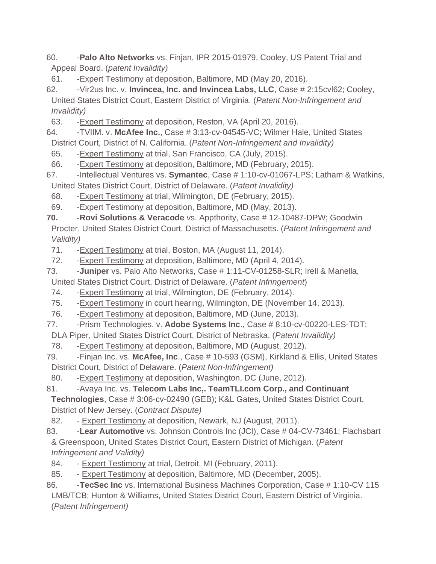60. -**Palo Alto Networks** vs. Finjan, IPR 2015-01979, Cooley, US Patent Trial and Appeal Board. (*patent Invalidity)*

61. -Expert Testimony at deposition, Baltimore, MD (May 20, 2016).

62. -Vir2us Inc. v. **Invincea, Inc. and Invincea Labs, LLC**, Case # 2:15cvl62; Cooley, United States District Court, Eastern District of Virginia. (*Patent Non-Infringement and Invalidity)*

63. -Expert Testimony at deposition, Reston, VA (April 20, 2016).

64. -TVIIM. v. **McAfee Inc.**, Case # 3:13-cv-04545-VC; Wilmer Hale, United States District Court, District of N. California. (*Patent Non-Infringement and Invalidity)*

65. -Expert Testimony at trial, San Francisco, CA (July, 2015).

66. -Expert Testimony at deposition, Baltimore, MD (February, 2015).

67. -Intellectual Ventures vs. **Symantec**, Case # 1:10-cv-01067-LPS; Latham & Watkins, United States District Court, District of Delaware. (*Patent Invalidity)*

68. -Expert Testimony at trial, Wilmington, DE (February, 2015).

69. -Expert Testimony at deposition, Baltimore, MD (May, 2013).

**70. -Rovi Solutions & Veracode** vs. Appthority, Case # 12-10487-DPW; Goodwin Procter, United States District Court, District of Massachusetts. (*Patent Infringement and Validity)*

71. -Expert Testimony at trial, Boston, MA (August 11, 2014).

72. -Expert Testimony at deposition, Baltimore, MD (April 4, 2014).

73. -**Juniper** vs. Palo Alto Networks, Case # 1:11-CV-01258-SLR; Irell & Manella,

United States District Court, District of Delaware. (*Patent Infringement*)

- 74. -Expert Testimony at trial, Wilmington, DE (February, 2014).
- 75. -Expert Testimony in court hearing, Wilmington, DE (November 14, 2013).

76. -Expert Testimony at deposition, Baltimore, MD (June, 2013).

77. -Prism Technologies. v. Adobe Systems Inc., Case # 8:10-cv-00220-LES-TDT;

DLA Piper, United States District Court, District of Nebraska. (*Patent Invalidity)*

78. -Expert Testimony at deposition, Baltimore, MD (August, 2012).

79. -Finjan Inc. vs. **McAfee, Inc**., Case # 10-593 (GSM), Kirkland & Ellis, United States District Court, District of Delaware. (*Patent Non-Infringement)*

80. -Expert Testimony at deposition, Washington, DC (June, 2012).

81. - Avaya Inc. vs. **Telecom Labs Inc.. TeamTLI.com Corp., and Continuant** 

**Technologies**, Case # 3:06-cv-02490 (GEB); K&L Gates, United States District Court, District of New Jersey. (*Contract Dispute)*

82. - Expert Testimony at deposition, Newark, NJ (August, 2011).

83. **-Lear Automotive** vs. Johnson Controls Inc (JCI), Case # 04-CV-73461; Flachsbart & Greenspoon, United States District Court, Eastern District of Michigan. (*Patent Infringement and Validity)*

84. - Expert Testimony at trial, Detroit, MI (February, 2011).

85. - Expert Testimony at deposition, Baltimore, MD (December, 2005).

86. -**TecSec Inc** vs. International Business Machines Corporation, Case # 1:10-CV 115 LMB/TCB; Hunton & Williams, United States District Court, Eastern District of Virginia. (*Patent Infringement)*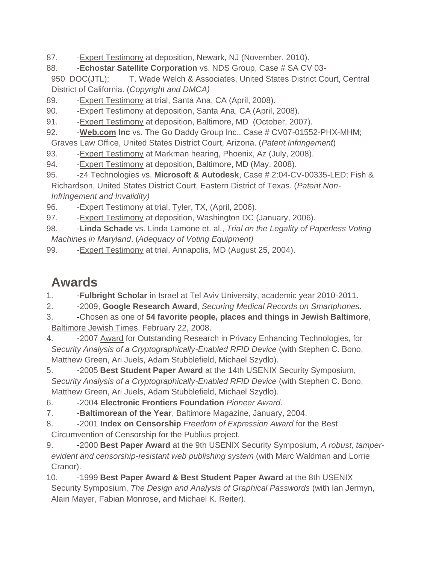- 87. Expert Testimony at deposition, Newark, NJ (November, 2010).
- 88. -**Echostar Satellite Corporation** vs. NDS Group, Case # SA CV 03-
- 950 DOC(JTL); T. Wade Welch & Associates, United States District Court, Central District of California. (*Copyright and DMCA)*
- 89. Expert Testimony at trial, Santa Ana, CA (April, 2008).
- 90. Expert Testimony at deposition, Santa Ana, CA (April, 2008).
- 91. Expert Testimony at deposition, Baltimore, MD (October, 2007).
- 92. Veb.com Inc vs. The Go Daddy Group Inc., Case # CV07-01552-PHX-MHM;
- Graves Law Office, United States District Court, Arizona. (*Patent Infringement*)
- 93. Expert Testimony at Markman hearing, Phoenix, Az (July, 2008).
- 94. Expert Testimony at deposition, Baltimore, MD (May, 2008).
- 95. -z4 Technologies vs. **Microsoft & Autodesk**, Case # 2:04-CV-00335-LED; Fish & Richardson, United States District Court, Eastern District of Texas. (*Patent Non-Infringement and Invalidity)*
- 96. Expert Testimony at trial, Tyler, TX, (April, 2006).
- 97. Expert Testimony at deposition, Washington DC (January, 2006).
- 98. -**Linda Schade** vs. Linda Lamone et. al., *Trial on the Legality of Paperless Voting Machines in Maryland*. (*Adequacy of Voting Equipment)*
- 99. Expert Testimony at trial, Annapolis, MD (August 25, 2004).

### **Awards**

- 1. -**Fulbright Scholar** in Israel at Tel Aviv University, academic year 2010-2011.
- 2. -2009, **Google Research Award**, *Securing Medical Records on Smartphones.*
- 3. -Chosen as one of **54 favorite people, places and things in Jewish Baltimore**, [Baltimore Jewish Times,](http://www.jewishtimes.com/index.php/jewishtimes/news/jt/cover_story/baltimore_jewish_times_favorite_54/) February 22, 2008.
- 4. -2007 [Award](http://petworkshop.org/award/) for Outstanding Research in Privacy Enhancing Technologies, for *Security Analysis of a Cryptographically-Enabled RFID Device* (with Stephen C. Bono, Matthew Green, Ari Juels, Adam Stubblefield, Michael Szydlo).
- 5. -2005 **Best Student Paper Award** at the 14th USENIX Security Symposium, *Security Analysis of a Cryptographically-Enabled RFID Device* (with Stephen C. Bono, Matthew Green, Ari Juels, Adam Stubblefield, Michael Szydlo).
- 6. -2004 **Electronic Frontiers Foundation** *Pioneer Award*.
- 7. -**Baltimorean of the Year**, Baltimore Magazine, January, 2004.
- 8. -2001 **Index on Censorship** *Freedom of Expression Award* for the Best Circumvention of Censorship for the Publius project.
- 9. -2000 **Best Paper Award** at the 9th USENIX Security Symposium, *A robust, tamperevident and censorship-resistant web publishing system* (with Marc Waldman and Lorrie Cranor).
- 10. -1999 **Best Paper Award & Best Student Paper Award** at the 8th USENIX Security Symposium, *The Design and Analysis of Graphical Passwords* (with Ian Jermyn, Alain Mayer, Fabian Monrose, and Michael K. Reiter).